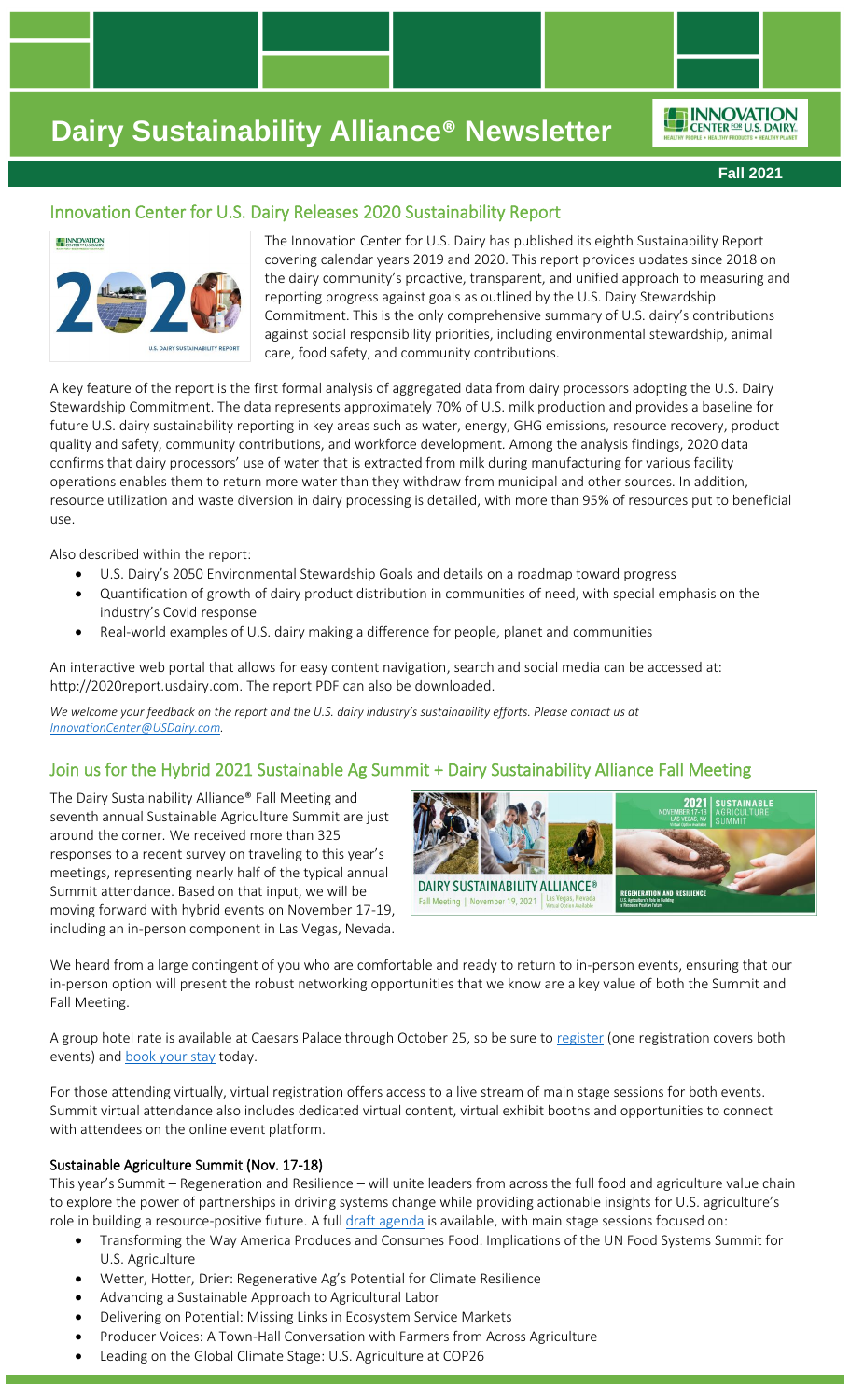ENNOVATION

**Fall 2021**

## Innovation Center for U.S. Dairy Releases 2020 Sustainability Report



The Innovation Center for U.S. Dairy has published its eighth Sustainability Report covering calendar years 2019 and 2020. This report provides updates since 2018 on the dairy community's proactive, transparent, and unified approach to measuring and reporting progress against goals as outlined by the U.S. Dairy Stewardship Commitment. This is the only comprehensive summary of U.S. dairy's contributions against social responsibility priorities, including environmental stewardship, animal care, food safety, and community contributions.

A key feature of the report is the first formal analysis of aggregated data from dairy processors adopting the U.S. Dairy Stewardship Commitment. The data represents approximately 70% of U.S. milk production and provides a baseline for future U.S. dairy sustainability reporting in key areas such as water, energy, GHG emissions, resource recovery, product quality and safety, community contributions, and workforce development*.* Among the analysis findings, 2020 data confirms that dairy processors' use of water that is extracted from milk during manufacturing for various facility operations enables them to return more water than they withdraw from municipal and other sources. In addition, resource utilization and waste diversion in dairy processing is detailed, with more than 95% of resources put to beneficial use.

Also described within the report:

- U.S. Dairy's 2050 Environmental Stewardship Goals and details on a roadmap toward progress
- Quantification of growth of dairy product distribution in communities of need, with special emphasis on the industry's Covid response
- Real-world examples of U.S. dairy making a difference for people, planet and communities

An interactive web portal that allows for easy content navigation, search and social media can be accessed at: http://2020report.usdairy.com. The report PDF can also be downloaded.

We welcome your feedback on the report and the U.S. dairy industry's sustainability efforts. Please contact us at *[InnovationCenter@USDairy.com.](mailto:InnovationCenter@USDairy.com)*

## Join us for the Hybrid 2021 Sustainable Ag Summit + Dairy Sustainability Alliance Fall Meeting

The Dairy Sustainability Alliance® Fall Meeting and seventh annual Sustainable Agriculture Summit are just around the corner. We received more than 325 responses to a recent survey on traveling to this year's meetings, representing nearly half of the typical annual Summit attendance. Based on that input, we will be moving forward with hybrid events on November 17-19, including an in-person component in Las Vegas, Nevada.



We heard from a large contingent of you who are comfortable and ready to return to in-person events, ensuring that our in-person option will present the robust networking opportunities that we know are a key value of both the Summit and Fall Meeting.

A group hotel rate is available at Caesars Palace through October 25, so be sure to [register](https://sustainableagsummit.org/registration/) (one registration covers both events) and **book** your stay today.

For those attending virtually, virtual registration offers access to a live stream of main stage sessions for both events. Summit virtual attendance also includes dedicated virtual content, virtual exhibit booths and opportunities to connect with attendees on the online event platform.

#### Sustainable Agriculture Summit (Nov. 17-18)

This year's Summit – Regeneration and Resilience – will unite leaders from across the full food and agriculture value chain to explore the power of partnerships in driving systems change while providing actionable insights for U.S. agriculture's role in building a resource-positive future. A full [draft agenda](https://sustainableagsummit.org/agenda/) is available, with main stage sessions focused on:

- Transforming the Way America Produces and Consumes Food: Implications of the UN Food Systems Summit for U.S. Agriculture
- Wetter, Hotter, Drier: Regenerative Ag's Potential for Climate Resilience
- Advancing a Sustainable Approach to Agricultural Labor
- Delivering on Potential: Missing Links in Ecosystem Service Markets
- Producer Voices: A Town-Hall Conversation with Farmers from Across Agriculture
- Leading on the Global Climate Stage: U.S. Agriculture at COP26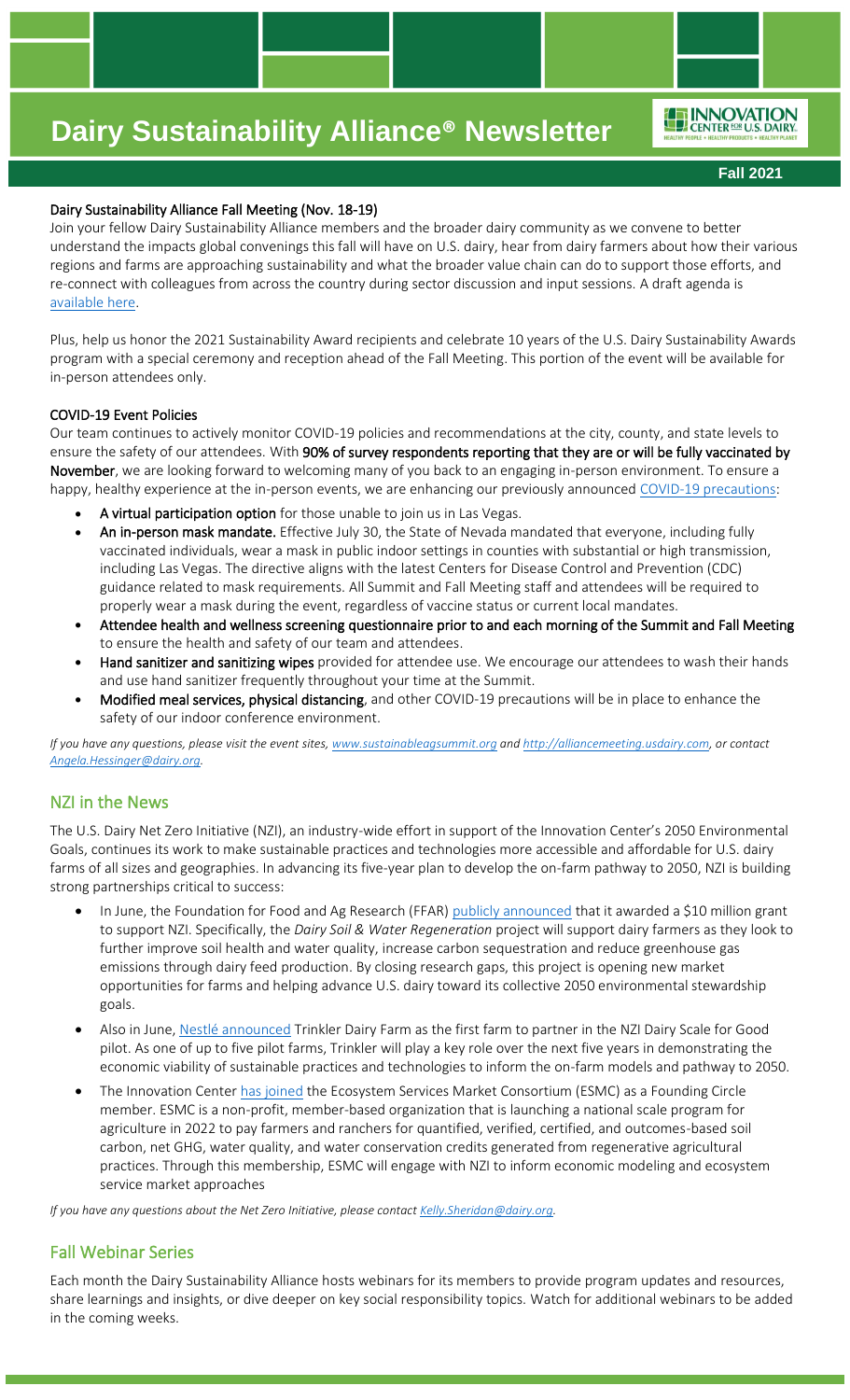ENNOVATION

**Fall 2021**

### Dairy Sustainability Alliance Fall Meeting (Nov. 18-19)

Join your fellow Dairy Sustainability Alliance members and the broader dairy community as we convene to better understand the impacts global convenings this fall will have on U.S. dairy, hear from dairy farmers about how their various regions and farms are approaching sustainability and what the broader value chain can do to support those efforts, and re-connect with colleagues from across the country during sector discussion and input sessions. A draft agenda is [available here.](http://alliancemeeting.usdairy.com/#/Agenda)

Plus, help us honor the 2021 Sustainability Award recipients and celebrate 10 years of the U.S. Dairy Sustainability Awards program with a special ceremony and reception ahead of the Fall Meeting. This portion of the event will be available for in-person attendees only.

#### COVID-19 Event Policies

Our team continues to actively monitor COVID-19 policies and recommendations at the city, county, and state levels to ensure the safety of our attendees. With 90% of survey respondents reporting that they are or will be fully vaccinated by November, we are looking forward to welcoming many of you back to an engaging in-person environment. To ensure a happy, healthy experience at the in-person events, we are enhancing our previously announced [COVID-19 p](https://sustainableagsummit.org/covid-safety/?utm_source=Sustainable+Ag+Summit&utm_campaign=9505e20a2e-EMAIL_CAMPAIGN_9_2_2021&utm_medium=email&utm_term=0_16c42a71f0-9505e20a2e-593531729&mc_cid=9505e20a2e&mc_eid=a736b1de49)recautions:

- A virtual participation option for those unable to join us in Las Vegas.
- An in-person mask mandate. Effective July 30, the State of Nevada mandated that everyone, including fully vaccinated individuals, wear a mask in public indoor settings in counties with substantial or high transmission, including Las Vegas. The directive aligns with the latest Centers for Disease Control and Prevention (CDC) guidance related to mask requirements. All Summit and Fall Meeting staff and attendees will be required to properly wear a mask during the event, regardless of vaccine status or current local mandates.
- Attendee health and wellness screening questionnaire prior to and each morning of the Summit and Fall Meeting to ensure the health and safety of our team and attendees.
- Hand sanitizer and sanitizing wipes provided for attendee use. We encourage our attendees to wash their hands and use hand sanitizer frequently throughout your time at the Summit.
- Modified meal services, physical distancing, and other COVID-19 precautions will be in place to enhance the safety of our indoor conference environment.

*If you have any questions, please visit the event sites, [www.sustainableagsummit.org](http://www.sustainableagsummit.org/) an[d http://alliancemeeting.usdairy.com,](http://alliancemeeting.usdairy.com/) or contact [Angela.Hessinger@dairy.org.](mailto:Angela.Hessinger@dairy.org)*

### NZI in the News

The U.S. Dairy Net Zero Initiative (NZI), an industry-wide effort in support of the Innovation Center's 2050 Environmental Goals, continues its work to make sustainable practices and technologies more accessible and affordable for U.S. dairy farms of all sizes and geographies. In advancing its five-year plan to develop the on-farm pathway to 2050, NZI is building strong partnerships critical to success:

- In June, the Foundation for Food and Ag Research (FFAR) [publicly announced](https://foundationfar.org/news/ffar-grant-enhances-dairy-industry-sustainability/) that it awarded a \$10 million grant to support NZI. Specifically, the *Dairy Soil & Water Regeneration* project will support dairy farmers as they look to further improve soil health and water quality, increase carbon sequestration and reduce greenhouse gas emissions through dairy feed production. By closing research gaps, this project is opening new market opportunities for farms and helping advance U.S. dairy toward its collective 2050 environmental stewardship goals.
- Also in June, [Nestlé announced](https://www.nestleusa.com/media/pressreleases/carnation-farm-joins-dairy-net-zero-initiative) Trinkler Dairy Farm as the first farm to partner in the NZI Dairy Scale for Good pilot. As one of up to five pilot farms, Trinkler will play a key role over the next five years in demonstrating the economic viability of sustainable practices and technologies to inform the on-farm models and pathway to 2050.
- The Innovation Center [has joined](https://ecosystemservicesmarket.org/june-2021-esmc-newsletter/) the Ecosystem Services Market Consortium (ESMC) as a Founding Circle member. ESMC is a non-profit, member-based organization that is launching a national scale program for agriculture in 2022 to pay farmers and ranchers for quantified, verified, certified, and outcomes-based soil carbon, net GHG, water quality, and water conservation credits generated from regenerative agricultural practices. Through this membership, ESMC will engage with NZI to inform economic modeling and ecosystem service market approaches

*If you have any questions about the Net Zero Initiative, please contact Kelly.Sheridan@dairy.org.* 

## Fall Webinar Series

Each month the Dairy Sustainability Alliance hosts webinars for its members to provide program updates and resources, share learnings and insights, or dive deeper on key social responsibility topics. Watch for additional webinars to be added in the coming weeks.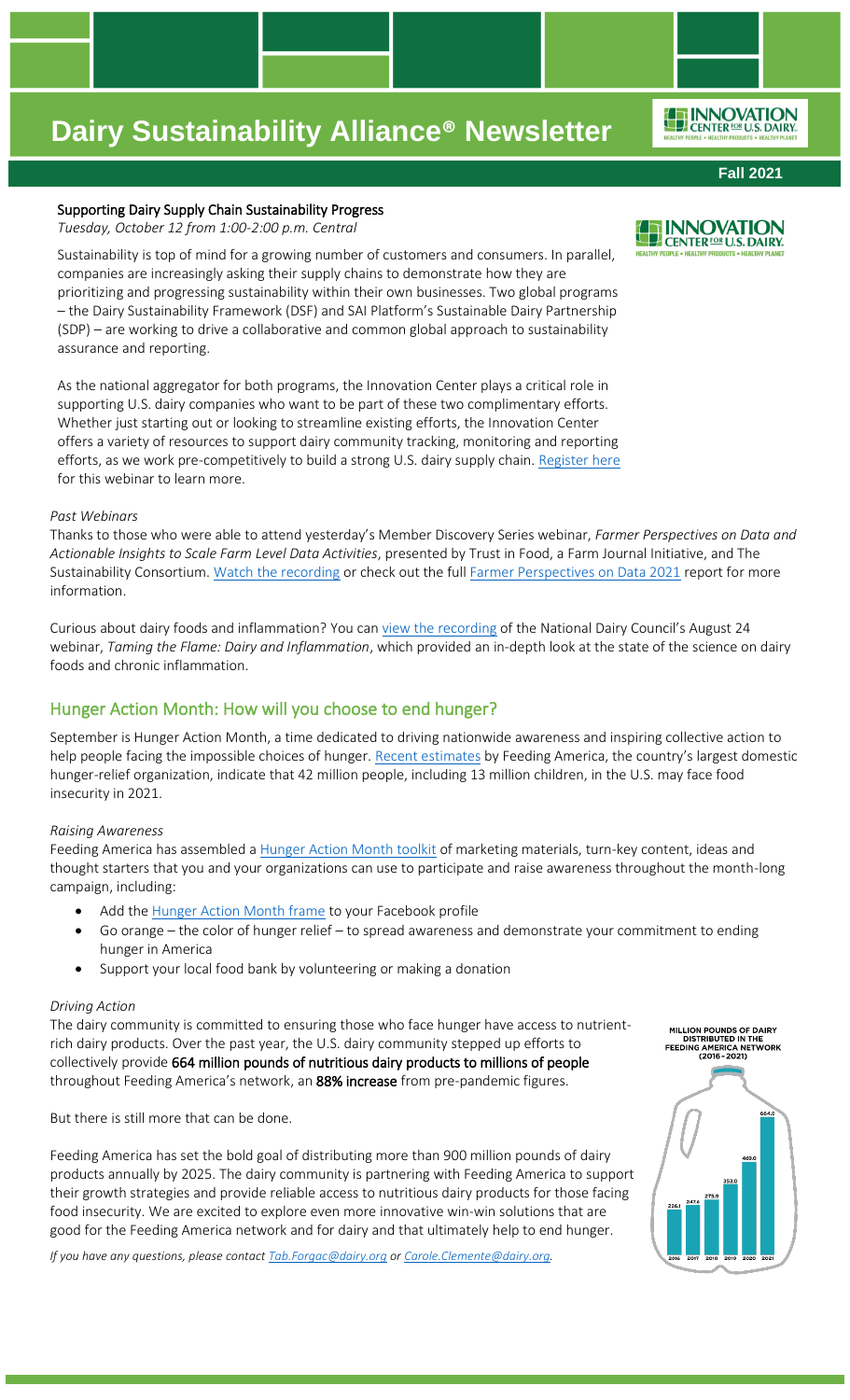### Supporting Dairy Supply Chain Sustainability Progress

*Tuesday, October 12 from 1:00-2:00 p.m. Central* 

Sustainability is top of mind for a growing number of customers and consumers. In parallel, companies are increasingly asking their supply chains to demonstrate how they are prioritizing and progressing sustainability within their own businesses. Two global programs – the Dairy Sustainability Framework (DSF) and SAI Platform's Sustainable Dairy Partnership (SDP) – are working to drive a collaborative and common global approach to sustainability assurance and reporting.

As the national aggregator for both programs, the Innovation Center plays a critical role in supporting U.S. dairy companies who want to be part of these two complimentary efforts. Whether just starting out or looking to streamline existing efforts, the Innovation Center offers a variety of resources to support dairy community tracking, monitoring and reporting efforts, as we work pre-competitively to build a strong U.S. dairy supply chain. [Register here](https://dairy.zoom.us/webinar/register/WN_OZZG78qpSTy1pf58AQVtSg) for this webinar to learn more.

### *Past Webinars*

Thanks to those who were able to attend yesterday's Member Discovery Series webinar, *Farmer Perspectives on Data and Actionable Insights to Scale Farm Level Data Activities*, presented by Trust in Food, a Farm Journal Initiative, and The Sustainability Consortium. [Watch the recording](https://vimeo.com/610110979/80449ac831) or check out the full [Farmer Perspectives on Data 2021](https://www.trustinfood.com/wp-content/uploads/2021/05/Farmer-Perspectives-on-Data-2021.pdf?mkt_tok=ODQzLVlHQi03OTMAAAF8-kZOuk2VxqHLFzLp2yX6dltESbAiZHJnINLzKgjZqz4KbkyFGfW2X54A8qXGLnohlhs5z-j5El04mVHYuqr4dT6LSwSG6_2qPvuxU8FuPByLdurb) report for more information.

Curious about dairy foods and inflammation? You can [view the recording](https://www.usdairy.com/news-articles/dairy-inflammation-webinar) of the National Dairy Council's August 24 webinar, *Taming the Flame: Dairy and Inflammation*, which provided an in-depth look at the state of the science on dairy foods and chronic inflammation.

# Hunger Action Month: How will you choose to end hunger?

September is Hunger Action Month, a time dedicated to driving nationwide awareness and inspiring collective action to help people facing the impossible choices of hunger. [Recent estimates](https://www.usdairy.com/getmedia/89e3f0f6-d563-43ee-86ed-91b6bf9e417f/covid-19-impact-on-food-insecurity.pdf?ext=.pdf) by Feeding America, the country's largest domestic hunger-relief organization, indicate that 42 million people, including 13 million children, in the U.S. may face food insecurity in 2021.

## *Raising Awareness*

Feeding America has assembled a [Hunger Action Month toolkit](https://rosedmi-my.sharepoint.com/:f:/g/personal/angela_hessinger_dairy_org/EmnKx3RfCBFKs_qkrnccmBUBraah0woV2i1HwQfeUca6hg?e=fvscCI) of marketing materials, turn-key content, ideas and thought starters that you and your organizations can use to participate and raise awareness throughout the month-long campaign, including:

- Add the [Hunger Action Month frame](https://www.facebook.com/profilepicframes/?selected_overlay_id=507657277165748#_=_) to your Facebook profile
- Go orange the color of hunger relief to spread awareness and demonstrate your commitment to ending hunger in America
- Support your local food bank by volunteering or making a donation

## *Driving Action*

The dairy community is committed to ensuring those who face hunger have access to nutrientrich dairy products. Over the past year, the U.S. dairy community stepped up efforts to collectively provide 664 million pounds of nutritious dairy products to millions of people throughout Feeding America's network, an 88% increase from pre-pandemic figures.

But there is still more that can be done.

Feeding America has set the bold goal of distributing more than 900 million pounds of dairy products annually by 2025. The dairy community is partnering with Feeding America to support their growth strategies and provide reliable access to nutritious dairy products for those facing food insecurity. We are excited to explore even more innovative win-win solutions that are good for the Feeding America network and for dairy and that ultimately help to end hunger.

*If you have any questions, please contac[t Tab.Forgac@dairy.org](mailto:Tab.Forgac@dairy.org) or [Carole.Clemente@dairy.org.](mailto:Carole.Clemente@dairy.org)*



## **Fall 2021**

ENNOVATION

**E INNOVATION** CENTER FOR U.S. DAIRY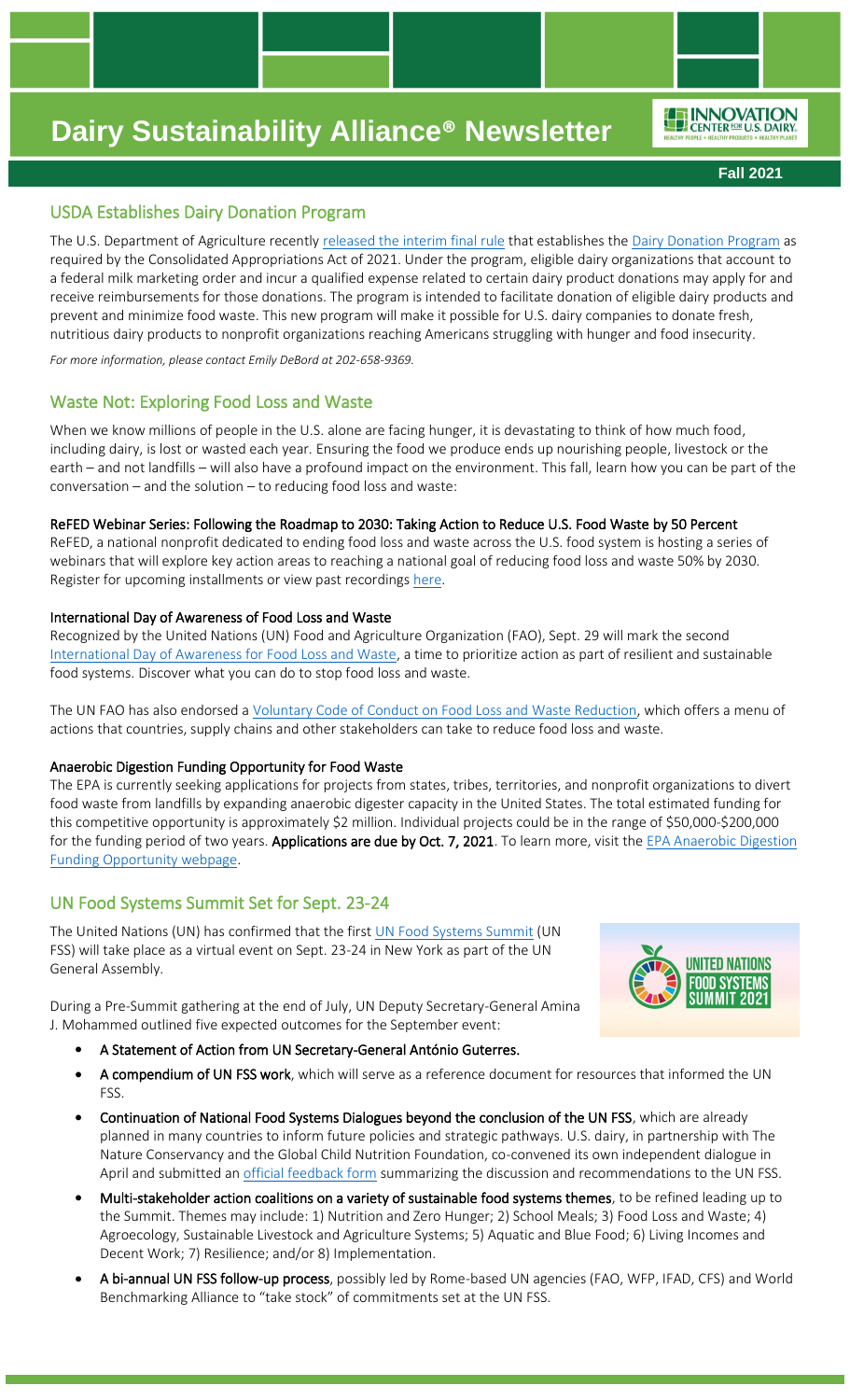ENNOVATION

**Fall 2021**

## USDA Establishes Dairy Donation Program

The U.S. Department of Agriculture recently [released the interim final rule](https://www.ams.usda.gov/press-release/usda-establishes-dairy-donation-program-part-continuing-usda-pandemic-assistance) that establishes the [Dairy Donation Program](https://www.ams.usda.gov/services/ddp) as required by the Consolidated Appropriations Act of 2021. Under the program, eligible dairy organizations that account to a federal milk marketing order and incur a qualified expense related to certain dairy product donations may apply for and receive reimbursements for those donations. The program is intended to facilitate donation of eligible dairy products and prevent and minimize food waste. This new program will make it possible for U.S. dairy companies to donate fresh, nutritious dairy products to nonprofit organizations reaching Americans struggling with hunger and food insecurity.

*For more information, please contact Emily DeBord at 202-658-9369.*

### Waste Not: Exploring Food Loss and Waste

When we know millions of people in the U.S. alone are facing hunger, it is devastating to think of how much food, including dairy, is lost or wasted each year. Ensuring the food we produce ends up nourishing people, livestock or the earth – and not landfills – will also have a profound impact on the environment. This fall, learn how you can be part of the conversation – and the solution – to reducing food loss and waste:

#### ReFED Webinar Series: Following the Roadmap to 2030: Taking Action to Reduce U.S. Food Waste by 50 Percent

ReFED, a national nonprofit dedicated to ending food loss and waste across the U.S. food system is hosting a series of webinars that will explore key action areas to reaching a national goal of reducing food loss and waste 50% by 2030. Register for upcoming installments or view past recording[s here.](https://refed.com/events/following-the-roadmap-to-2030-taking-action-to-reduce-food-waste-by-50/)

#### International Day of Awareness of Food Loss and Waste

Recognized by the United Nations (UN) Food and Agriculture Organization (FAO), Sept. 29 will mark the second [International Day of Awareness for Food Loss and Waste,](http://www.fao.org/international-day-awareness-food-loss-waste/en/) a time to prioritize action as part of resilient and sustainable food systems. Discover what you can do to stop food loss and waste.

The UN FAO has also endorsed a [Voluntary Code of Conduct on Food Loss and Waste Reduction,](http://www.fao.org/3/nf393en/nf393en.pdf) which offers a menu of actions that countries, supply chains and other stakeholders can take to reduce food loss and waste.

#### Anaerobic Digestion Funding Opportunity for Food Waste

The EPA is currently seeking applications for projects from states, tribes, territories, and nonprofit organizations to divert food waste from landfills by expanding anaerobic digester capacity in the United States. The total estimated funding for this competitive opportunity is approximately \$2 million. Individual projects could be in the range of \$50,000-\$200,000 for the funding period of two years. Applications are due by Oct. 7, 2021. To learn more, visit the EPA Anaerobic Digestion [Funding Opportunity webpage.](https://nam12.safelinks.protection.outlook.com/?url=http%3A%2F%2Flistserv.erg.com%2Ftrk%2Fclick%3Fref%3Dzpe5n8wq2_4-22vwubb-0-1cfax32ccfx01402%26&data=04%7C01%7Cangela.hessinger%40DAIRY.ORG%7C7dadc78f7550472636bc08d96293ec3d%7C4a5c3ca3613143b194be00fe342a7c7c%7C0%7C1%7C637649209748773840%7CUnknown%7CTWFpbGZsb3d8eyJWIjoiMC4wLjAwMDAiLCJQIjoiV2luMzIiLCJBTiI6Ik1haWwiLCJXVCI6Mn0%3D%7C1000&sdata=5nC7KTJ4J4YQ3tQBKw5WC%2FeZaTyuQ%2Bkx3eXGK9S0up4%3D&reserved=0)

## UN Food Systems Summit Set for Sept. 23-24

The United Nations (UN) has confirmed that the first [UN Food Systems Summit](https://www.un.org/en/food-systems-summit) (UN FSS) will take place as a virtual event on Sept. 23-24 in New York as part of the UN General Assembly.

**IINITED NATIONS** NNN SYSTFI

J. Mohammed outlined five expected outcomes for the September event:

During a Pre-Summit gathering at the end of July, UN Deputy Secretary-General Amina

- A Statement of Action from UN Secretary-General António Guterres.
- A compendium of UN FSS work, which will serve as a reference document for resources that informed the UN FSS.
- Continuation of National Food Systems Dialogues beyond the conclusion of the UN FSS, which are already planned in many countries to inform future policies and strategic pathways. U.S. dairy, in partnership with The Nature Conservancy and the Global Child Nutrition Foundation, co-convened its own independent dialogue in April and submitted an [official feedback form](https://nam12.safelinks.protection.outlook.com/?url=https%3A%2F%2Fsummitdialogues.org%2Fdialogue%2F8433%2F&data=04%7C01%7Cangela.hessinger%40dairy.org%7Ca9897e983ad949ad24a808d926d60390%7C4a5c3ca3613143b194be00fe342a7c7c%7C0%7C0%7C637583522898521319%7CUnknown%7CTWFpbGZsb3d8eyJWIjoiMC4wLjAwMDAiLCJQIjoiV2luMzIiLCJBTiI6Ik1haWwiLCJXVCI6Mn0%3D%7C1000&sdata=atfzjYj3%2FgxNL8Ce6W9bzHhsESX1tnoN0%2F0jGFhHh6g%3D&reserved=0) summarizing the discussion and recommendations to the UN FSS.
- Multi-stakeholder action coalitions on a variety of sustainable food systems themes, to be refined leading up to the Summit. Themes may include: 1) Nutrition and Zero Hunger; 2) School Meals; 3) Food Loss and Waste; 4) Agroecology, Sustainable Livestock and Agriculture Systems; 5) Aquatic and Blue Food; 6) Living Incomes and Decent Work; 7) Resilience; and/or 8) Implementation.
- A bi-annual UN FSS follow-up process, possibly led by Rome-based UN agencies (FAO, WFP, IFAD, CFS) and World Benchmarking Alliance to "take stock" of commitments set at the UN FSS.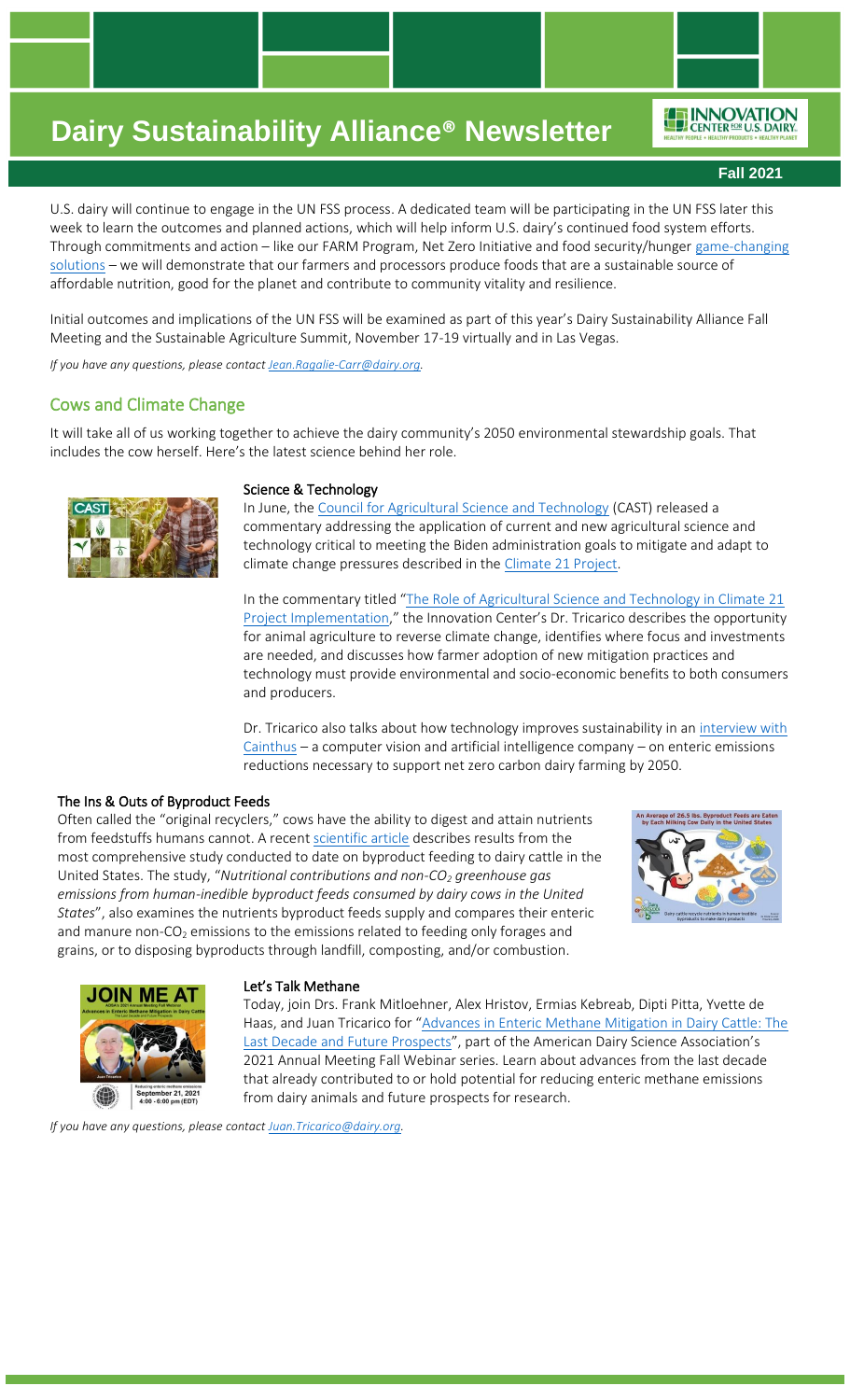ENNOVATION

**Fall 2021**

U.S. dairy will continue to engage in the UN FSS process. A dedicated team will be participating in the UN FSS later this week to learn the outcomes and planned actions, which will help inform U.S. dairy's continued food system efforts. Through commitments and action – like our FARM Program, Net Zero Initiative and food security/hunger game-changing [solutions](https://www.multivu.com/players/English/8951851-us-dairy-industry-advances-three-solutions-sustainable-secure-food-system/) – we will demonstrate that our farmers and processors produce foods that are a sustainable source of affordable nutrition, good for the planet and contribute to community vitality and resilience.

Initial outcomes and implications of the UN FSS will be examined as part of this year's Dairy Sustainability Alliance Fall Meeting and the Sustainable Agriculture Summit, November 17-19 virtually and in Las Vegas.

*If you have any questions, please contac[t Jean.Ragalie-Carr@dairy.org.](mailto:Jean.Ragalie-Carr@dairy.org)*

### Cows and Climate Change

It will take all of us working together to achieve the dairy community's 2050 environmental stewardship goals. That includes the cow herself. Here's the latest science behind her role.



#### Science & Technology

In June, the [Council for Agricultural Science and Technology](https://www.cast-science.org/) (CAST) released a commentary addressing the application of current and new agricultural science and technology critical to meeting the Biden administration goals to mitigate and adapt to climate change pressures described in the [Climate 21 Project.](https://climate21.org/)

In the commentary titled "The Role of Agricultural Science and Technology in Climate 21 [Project Implementation](https://www.cast-science.org/publication/the-role-of-agricultural-science-and-technology-in-climate-21-project-implementation/)," the Innovation Center's Dr. Tricarico describes the opportunity for animal agriculture to reverse climate change, identifies where focus and investments are needed, and discusses how farmer adoption of new mitigation practices and technology must provide environmental and socio-economic benefits to both consumers and producers.

Dr. Tricarico also talks about how technology improves sustainability in a[n interview with](https://www.cainthus.com/blog-posts/working-towards-carbon-neutral-dairy-farming)  [Cainthus](https://www.cainthus.com/blog-posts/working-towards-carbon-neutral-dairy-farming) – a computer vision and artificial intelligence company – on enteric emissions reductions necessary to support net zero carbon dairy farming by 2050.

#### The Ins & Outs of Byproduct Feeds

Often called the "original recyclers," cows have the ability to digest and attain nutrients from feedstuffs humans cannot. A recen[t scientific article](https://www.sciencedirect.com/science/article/pii/S095965262102343X?via%3Dihub) describes results from the most comprehensive study conducted to date on byproduct feeding to dairy cattle in the United States. The study, "*Nutritional contributions and non-CO<sup>2</sup> greenhouse gas emissions from human-inedible byproduct feeds consumed by dairy cows in the United States*", also examines the nutrients byproduct feeds supply and compares their enteric and manure non- $CO<sub>2</sub>$  emissions to the emissions related to feeding only forages and grains, or to disposing byproducts through landfill, composting, and/or combustion.





#### Let's Talk Methane

Today, join Drs. Frank Mitloehner, Alex Hristov, Ermias Kebreab, Dipti Pitta, Yvette de Haas, and Juan Tricarico for "[Advances in Enteric Methane Mitigation in Dairy Cattle: The](https://nam12.safelinks.protection.outlook.com/?url=https%3A%2F%2Fwww.adsa.org%2FMeetings%2F2021-Annual-Meeting%2FProgram&data=04%7C01%7Cangela.hessinger%40dairy.org%7C2931ad0b344e4db7bf2508d9680cf7ef%7C4a5c3ca3613143b194be00fe342a7c7c%7C0%7C0%7C637655227212000078%7CUnknown%7CTWFpbGZsb3d8eyJWIjoiMC4wLjAwMDAiLCJQIjoiV2luMzIiLCJBTiI6Ik1haWwiLCJXVCI6Mn0%3D%7C1000&sdata=5p0T3Vcg7%2BY9mziD%2FhWbM1Um%2Bugl1l6O77KX7x3EaNI%3D&reserved=0)  [Last Decade and Future Prospects](https://nam12.safelinks.protection.outlook.com/?url=https%3A%2F%2Fwww.adsa.org%2FMeetings%2F2021-Annual-Meeting%2FProgram&data=04%7C01%7Cangela.hessinger%40dairy.org%7C2931ad0b344e4db7bf2508d9680cf7ef%7C4a5c3ca3613143b194be00fe342a7c7c%7C0%7C0%7C637655227212000078%7CUnknown%7CTWFpbGZsb3d8eyJWIjoiMC4wLjAwMDAiLCJQIjoiV2luMzIiLCJBTiI6Ik1haWwiLCJXVCI6Mn0%3D%7C1000&sdata=5p0T3Vcg7%2BY9mziD%2FhWbM1Um%2Bugl1l6O77KX7x3EaNI%3D&reserved=0)", part of the American Dairy Science Association's 2021 Annual Meeting Fall Webinar series. Learn about advances from the last decade that already contributed to or hold potential for reducing enteric methane emissions from dairy animals and future prospects for research.

*If you have any questions, please contac[t Juan.Tricarico@dairy.org.](mailto:Juan.Tricarico@dairy.org)*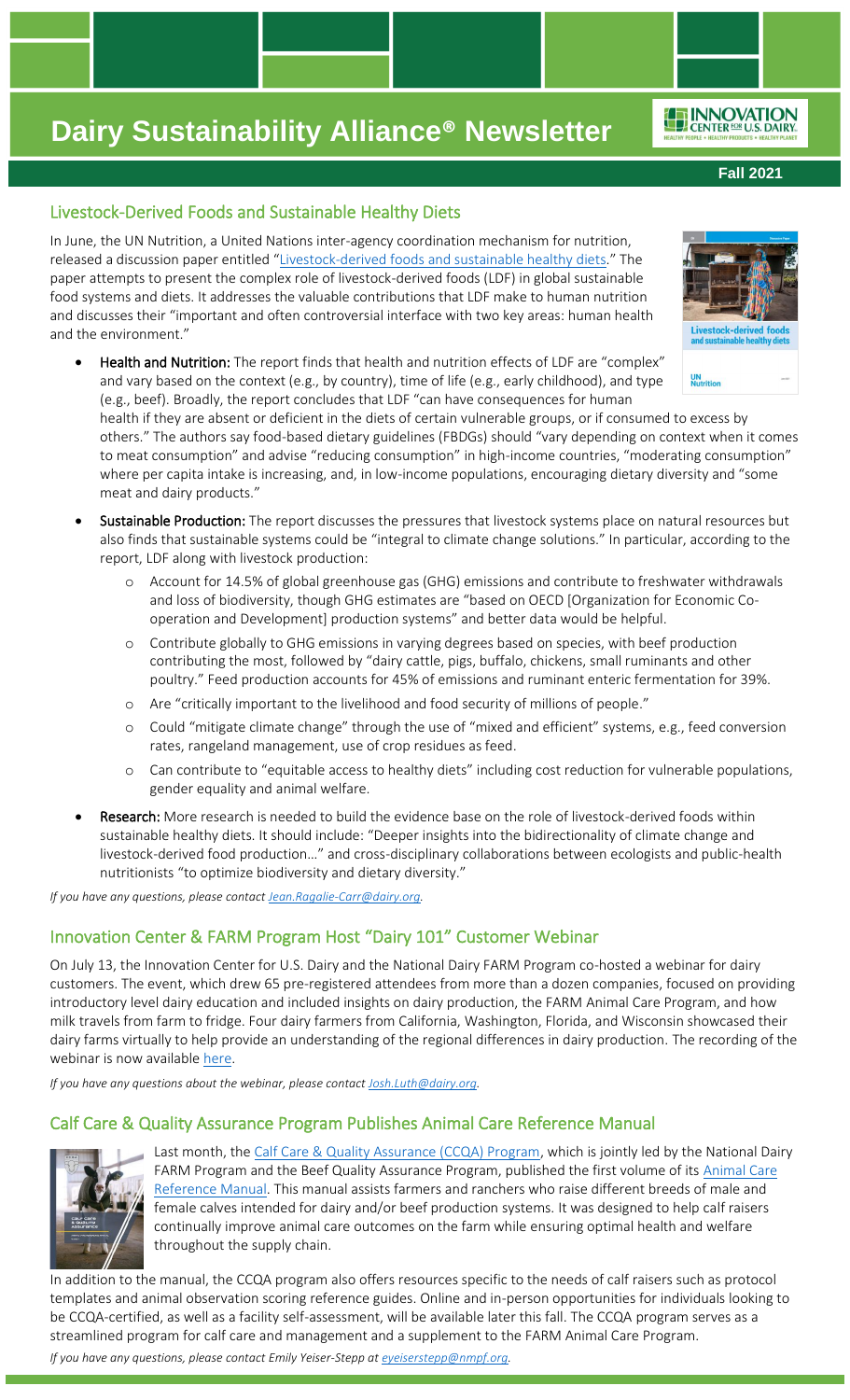**Fall 2021**

ENNOVATION

# Livestock-Derived Foods and Sustainable Healthy Diets

In June, the UN Nutrition, a United Nations inter-agency coordination mechanism for nutrition, released a discussion paper entitled "[Livestock-derived foods and sustainable healthy diets](https://www.unnutrition.org/wp-content/uploads/UN-Nutrition-paper-Livestock-derived-foods_19may.pdf)." The paper attempts to present the complex role of livestock-derived foods (LDF) in global sustainable food systems and diets. It addresses the valuable contributions that LDF make to human nutrition and discusses their "important and often controversial interface with two key areas: human health and the environment."



Health and Nutrition: The report finds that health and nutrition effects of LDF are "complex" and vary based on the context (e.g., by country), time of life (e.g., early childhood), and type (e.g., beef). Broadly, the report concludes that LDF "can have consequences for human

health if they are absent or deficient in the diets of certain vulnerable groups, or if consumed to excess by others." The authors say food-based dietary guidelines (FBDGs) should "vary depending on context when it comes to meat consumption" and advise "reducing consumption" in high-income countries, "moderating consumption" where per capita intake is increasing, and, in low-income populations, encouraging dietary diversity and "some meat and dairy products."

- Sustainable Production: The report discusses the pressures that livestock systems place on natural resources but also finds that sustainable systems could be "integral to climate change solutions." In particular, according to the report, LDF along with livestock production:
	- o Account for 14.5% of global greenhouse gas (GHG) emissions and contribute to freshwater withdrawals and loss of biodiversity, though GHG estimates are "based on OECD [Organization for Economic Cooperation and Development] production systems" and better data would be helpful.
	- o Contribute globally to GHG emissions in varying degrees based on species, with beef production contributing the most, followed by "dairy cattle, pigs, buffalo, chickens, small ruminants and other poultry." Feed production accounts for 45% of emissions and ruminant enteric fermentation for 39%.
	- o Are "critically important to the livelihood and food security of millions of people."
	- o Could "mitigate climate change" through the use of "mixed and efficient" systems, e.g., feed conversion rates, rangeland management, use of crop residues as feed.
	- o Can contribute to "equitable access to healthy diets" including cost reduction for vulnerable populations, gender equality and animal welfare.
- Research: More research is needed to build the evidence base on the role of livestock-derived foods within sustainable healthy diets. It should include: "Deeper insights into the bidirectionality of climate change and livestock-derived food production…" and cross-disciplinary collaborations between ecologists and public-health nutritionists "to optimize biodiversity and dietary diversity."

*If you have any questions, please contac[t Jean.Ragalie-Carr@dairy.org.](mailto:Jean.Ragalie-Carr@dairy.org)*

# Innovation Center & FARM Program Host "Dairy 101" Customer Webinar

On July 13, the Innovation Center for U.S. Dairy and the National Dairy FARM Program co-hosted a webinar for dairy customers. The event, which drew 65 pre-registered attendees from more than a dozen companies, focused on providing introductory level dairy education and included insights on dairy production, the FARM Animal Care Program, and how milk travels from farm to fridge. Four dairy farmers from California, Washington, Florida, and Wisconsin showcased their dairy farms virtually to help provide an understanding of the regional differences in dairy production. The recording of the webinar is now availabl[e here.](https://vimeo.com/575826797)

*If you have any questions about the webinar, please contact [Josh.Luth@dairy.org.](mailto:Josh.Luth@dairy.org)*

## Calf Care & Quality Assurance Program Publishes Animal Care Reference Manual



Last month, the [Calf Care & Quality Assurance \(CCQA\) Program,](https://www.calfcareqa.org/) which is jointly led by the National Dairy FARM Program and the Beef Quality Assurance Program, published the first volume of its Animal Care [Reference Manual.](https://www.calfcareqa.org/Media/CalfCare/Docs/ccqa-manual_digital_final.pdf) This manual assists farmers and ranchers who raise different breeds of male and female calves intended for dairy and/or beef production systems. It was designed to help calf raisers continually improve animal care outcomes on the farm while ensuring optimal health and welfare throughout the supply chain.

In addition to the manual, the CCQA program also offers resources specific to the needs of calf raisers such as protocol templates and animal observation scoring reference guides. Online and in-person opportunities for individuals looking to be CCQA-certified, as well as a facility self-assessment, will be available later this fall. The CCQA program serves as a streamlined program for calf care and management and a supplement to the FARM Animal Care Program.

*If you have any questions, please contact Emily Yeiser-Stepp at [eyeiserstepp@nmpf.org.](mailto:eyeiserstepp@nmpf.org)*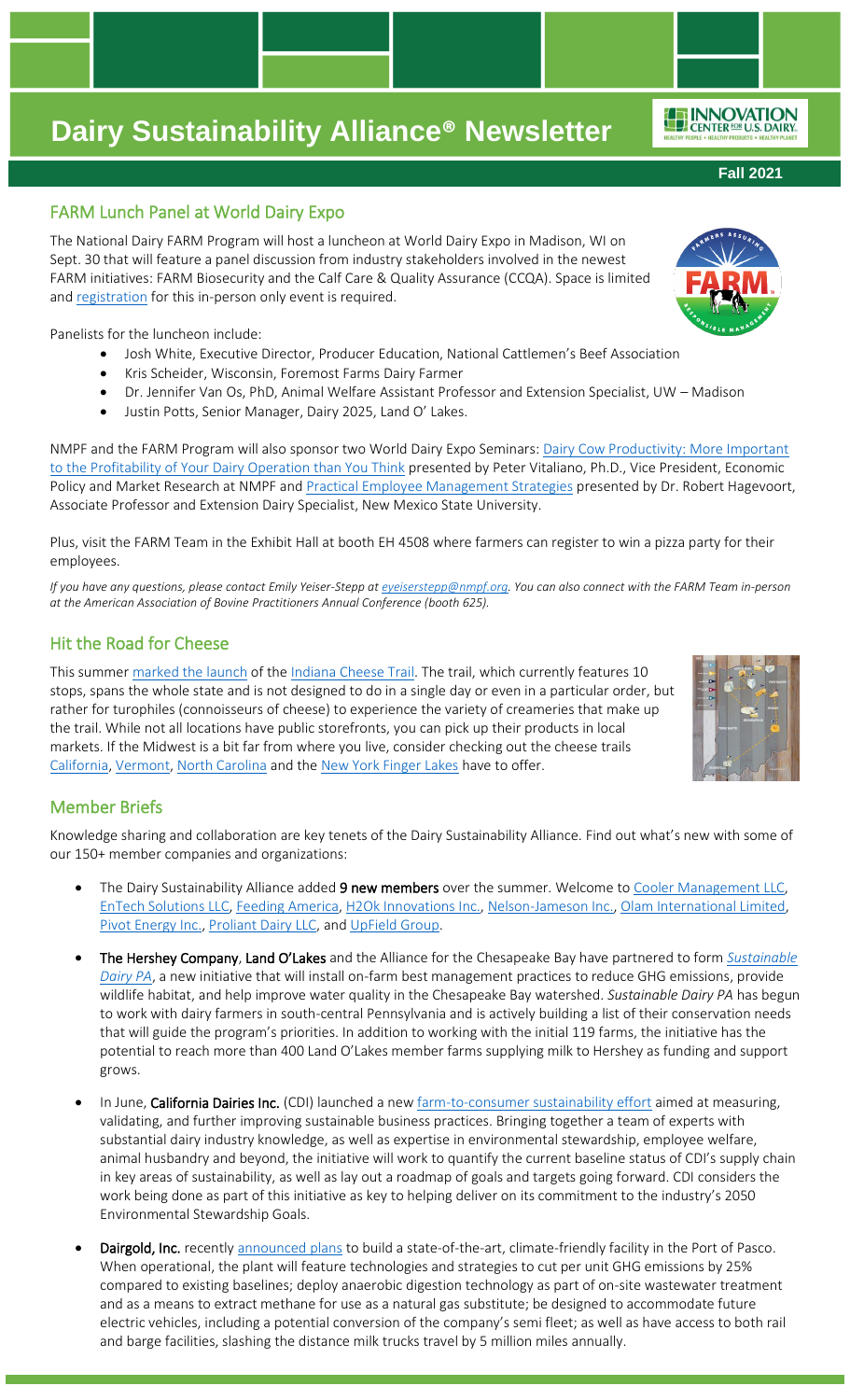# FARM Lunch Panel at World Dairy Expo

The National Dairy FARM Program will host a luncheon at World Dairy Expo in Madison, WI on Sept. 30 that will feature a panel discussion from industry stakeholders involved in the newest FARM initiatives: FARM Biosecurity and the Calf Care & Quality Assurance (CCQA). Space is limited and [registration](https://www.eventbrite.com/e/farm-program-lunch-at-world-dairy-expo-tickets-167640179289) for this in-person only event is required.

Panelists for the luncheon include:

- Josh White, Executive Director, Producer Education, National Cattlemen's Beef Association
- Kris Scheider, Wisconsin, Foremost Farms Dairy Farmer
- Dr. Jennifer Van Os, PhD, Animal Welfare Assistant Professor and Extension Specialist, UW Madison
- Justin Potts, Senior Manager, Dairy 2025, Land O' Lakes.

NMPF and the FARM Program will also sponsor two World Dairy Expo Seminars: [Dairy Cow Productivity: More Important](https://nam12.safelinks.protection.outlook.com/?url=https%3A%2F%2Fworlddairyexpo.com%2Fpages%2FExpo-Seminars.php%23s3&data=04%7C01%7Cangela.hessinger%40dairy.org%7C8a71108719e24fb443ed08d96e533c50%7C4a5c3ca3613143b194be00fe342a7c7c%7C0%7C1%7C637662126041502682%7CUnknown%7CTWFpbGZsb3d8eyJWIjoiMC4wLjAwMDAiLCJQIjoiV2luMzIiLCJBTiI6Ik1haWwiLCJXVCI6Mn0%3D%7C1000&sdata=9im2qZze3T%2Fj6NBHDFqZdcuPdiEY2VJ8FoXh%2FUQIPJI%3D&reserved=0)  [to the Profitability of Your Dairy Operation than You Think](https://nam12.safelinks.protection.outlook.com/?url=https%3A%2F%2Fworlddairyexpo.com%2Fpages%2FExpo-Seminars.php%23s3&data=04%7C01%7Cangela.hessinger%40dairy.org%7C8a71108719e24fb443ed08d96e533c50%7C4a5c3ca3613143b194be00fe342a7c7c%7C0%7C1%7C637662126041502682%7CUnknown%7CTWFpbGZsb3d8eyJWIjoiMC4wLjAwMDAiLCJQIjoiV2luMzIiLCJBTiI6Ik1haWwiLCJXVCI6Mn0%3D%7C1000&sdata=9im2qZze3T%2Fj6NBHDFqZdcuPdiEY2VJ8FoXh%2FUQIPJI%3D&reserved=0) presented by Peter Vitaliano, Ph.D., Vice President, Economic Policy and Market Research at NMPF and **[Practical Employee Management Strategies](https://nam12.safelinks.protection.outlook.com/?url=https%3A%2F%2Fworlddairyexpo.com%2Fpages%2FExpo-Seminars.php%23s3&data=04%7C01%7Cangela.hessinger%40dairy.org%7C8a71108719e24fb443ed08d96e533c50%7C4a5c3ca3613143b194be00fe342a7c7c%7C0%7C1%7C637662126041502682%7CUnknown%7CTWFpbGZsb3d8eyJWIjoiMC4wLjAwMDAiLCJQIjoiV2luMzIiLCJBTiI6Ik1haWwiLCJXVCI6Mn0%3D%7C1000&sdata=9im2qZze3T%2Fj6NBHDFqZdcuPdiEY2VJ8FoXh%2FUQIPJI%3D&reserved=0)** presented by Dr. Robert Hagevoort, Associate Professor and Extension Dairy Specialist, New Mexico State University.

Plus, visit the FARM Team in the Exhibit Hall at booth EH 4508 where farmers can register to win a pizza party for their employees.

*If you have any questions, please contact Emily Yeiser-Stepp at [eyeiserstepp@nmpf.org.](mailto:eyeiserstepp@nmpf.org) You can also connect with the FARM Team in-person at the American Association of Bovine Practitioners Annual Conference (booth 625).*

# Hit the Road for Cheese

This summer [marked the](https://www.foodandwine.com/travel/indiana-cheese-trail) launch of th[e Indiana Cheese Trail.](https://winnersdrinkmilk.com/community/cheese-trail/) The trail, which currently features 10 stops, spans the whole state and is not designed to do in a single day or even in a particular order, but rather for turophiles (connoisseurs of cheese) to experience the variety of creameries that make up the trail. While not all locations have public storefronts, you can pick up their products in local markets. If the Midwest is a bit far from where you live, consider checking out the cheese trails [California,](https://cheesetrail.org/) [Vermont,](https://vtcheese.com/vermont-cheese-trail-map/) [North Carolina](https://www.wnccheesetrail.org/) and the [New York Finger Lakes](https://www.flxcheese.com/) have to offer.

# Member Briefs

Knowledge sharing and collaboration are key tenets of the Dairy Sustainability Alliance. Find out what's new with some of our 150+ member companies and organizations:

- The Dairy Sustainability Alliance added 9 new members over the summer. Welcome to [Cooler Management LLC,](http://www.coolmgt.com/) [EnTech Solutions LLC,](https://energybyentech.com/) [Feeding America,](http://www.feedingamerica.org/) [H2Ok Innovations Inc.,](http://www.h2okinnovations.com/) [Nelson-Jameson Inc.,](http://www.nelsonjameson.com/) [Olam International Limited,](http://www.olamgroup.com/) [Pivot Energy Inc.,](https://www.pivotenergy.net/) [Proliant Dairy LLC,](http://www.proliantdairy.com/) and [UpField Group.](http://www.upfieldgroup.com/)
- The Hershey Company, Land O'Lakes and the Alliance for the Chesapeake Bay have partnered to form *[Sustainable](https://www.allianceforthebay.org/project/sustainabledairypa/)  [Dairy PA](https://www.allianceforthebay.org/project/sustainabledairypa/)*, a new initiative that will install on-farm best management practices to reduce GHG emissions, provide wildlife habitat, and help improve water quality in the Chesapeake Bay watershed. *Sustainable Dairy PA* has begun to work with dairy farmers in south-central Pennsylvania and is actively building a list of their conservation needs that will guide the program's priorities. In addition to working with the initial 119 farms, the initiative has the potential to reach more than 400 Land O'Lakes member farms supplying milk to Hershey as funding and support grows.
- In June, California Dairies Inc. (CDI) launched a ne[w farm-to-consumer sustainability effort](https://www.californiadairies.com/news/california-dairies-inc-announces-launch-farm-consumer-sustainability-effort) aimed at measuring, validating, and further improving sustainable business practices. Bringing together a team of experts with substantial dairy industry knowledge, as well as expertise in environmental stewardship, employee welfare, animal husbandry and beyond, the initiative will work to quantify the current baseline status of CDI's supply chain in key areas of sustainability, as well as lay out a roadmap of goals and targets going forward. CDI considers the work being done as part of this initiative as key to helping deliver on its commitment to the industry's 2050 Environmental Stewardship Goals.
- Dairgold, Inc. recently [announced plans](https://www.darigold.com/media/darigold-invests-in-climate-friendly-modernization/) to build a state-of-the-art, climate-friendly facility in the Port of Pasco. When operational, the plant will feature technologies and strategies to cut per unit GHG emissions by 25% compared to existing baselines; deploy anaerobic digestion technology as part of on-site wastewater treatment and as a means to extract methane for use as a natural gas substitute; be designed to accommodate future electric vehicles, including a potential conversion of the company's semi fleet; as well as have access to both rail and barge facilities, slashing the distance milk trucks travel by 5 million miles annually.







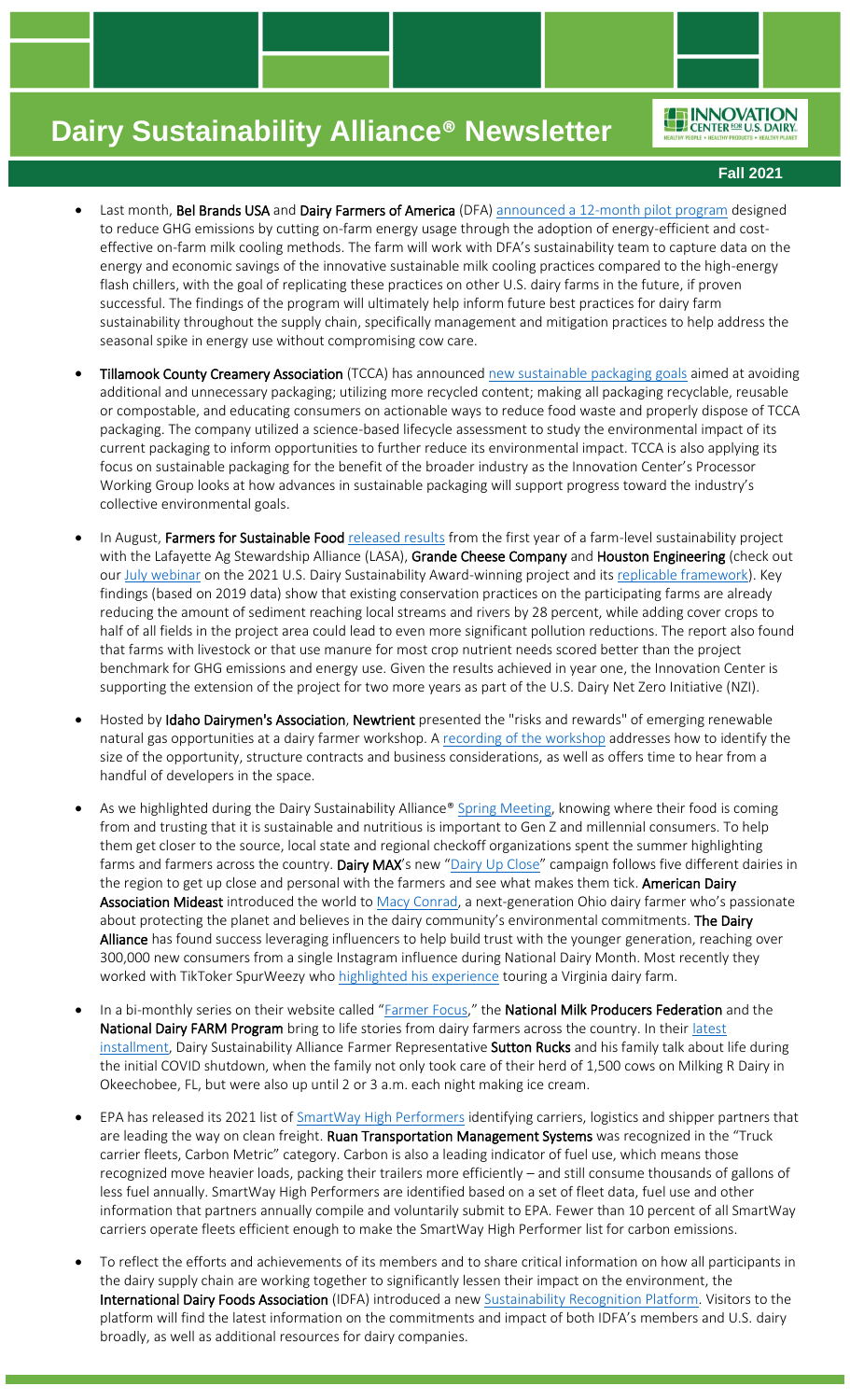ENNOVATION

**Fall 2021**

- Last month, Bel Brands USA and Dairy Farmers of America (DFA) [announced a 12-month pilot program](http://www.belbrandsusa.com/news/bel-brands-usa-partners-with-dairy-farmers-of-america-to-pilot-sustainable-milk-cooling-program/) designed to reduce GHG emissions by cutting on-farm energy usage through the adoption of energy-efficient and costeffective on-farm milk cooling methods. The farm will work with DFA's sustainability team to capture data on the energy and economic savings of the innovative sustainable milk cooling practices compared to the high-energy flash chillers, with the goal of replicating these practices on other U.S. dairy farms in the future, if proven successful. The findings of the program will ultimately help inform future best practices for dairy farm sustainability throughout the supply chain, specifically management and mitigation practices to help address the seasonal spike in energy use without compromising cow care.
- Tillamook County Creamery Association (TCCA) has announced [new sustainable packaging goals](https://www.dairyprocessing.com/articles/301-tillamook-announces-new-packaging-sustainability-goals) aimed at avoiding additional and unnecessary packaging; utilizing more recycled content; making all packaging recyclable, reusable or compostable, and educating consumers on actionable ways to reduce food waste and properly dispose of TCCA packaging. The company utilized a science-based lifecycle assessment to study the environmental impact of its current packaging to inform opportunities to further reduce its environmental impact. TCCA is also applying its focus on sustainable packaging for the benefit of the broader industry as the Innovation Center's Processor Working Group looks at how advances in sustainable packaging will support progress toward the industry's collective environmental goals.
- In August, Farmers for Sustainable Food [released results](https://farmersforsustainablefood.com/analysis-farms-in-pilot-project-achieve-positive-results-on-national-sustainability-metrics/) from the first year of a farm-level sustainability project with the Lafayette Ag Stewardship Alliance (LASA), Grande Cheese Company and Houston Engineering (check out ou[r July webinar](https://vimeo.com/577326389/2132e32b0d) on the 2021 U.S. Dairy Sustainability Award-winning project and it[s replicable framework\)](https://farmersforsustainablefood.com/wp-content/uploads/2021/04/Sustainability-project-Framework-Final-3.23.21.pdf). Key findings (based on 2019 data) show that existing conservation practices on the participating farms are already reducing the amount of sediment reaching local streams and rivers by 28 percent, while adding cover crops to half of all fields in the project area could lead to even more significant pollution reductions. The report also found that farms with livestock or that use manure for most crop nutrient needs scored better than the project benchmark for GHG emissions and energy use. Given the results achieved in year one, the Innovation Center is supporting the extension of the project for two more years as part of the U.S. Dairy Net Zero Initiative (NZI).
- Hosted by Idaho Dairymen's Association, Newtrient presented the "risks and rewards" of emerging renewable natural gas opportunities at a dairy farmer workshop. A [recording of the workshop](https://www.idahodairymens.org/stewardship) addresses how to identify the size of the opportunity, structure contracts and business considerations, as well as offers time to hear from a handful of developers in the space.
- As we highlighted during the Dairy Sustainability Alliance® [Spring Meeting,](https://vimeo.com/555393506/0e7708fed6) knowing where their food is coming from and trusting that it is sustainable and nutritious is important to Gen Z and millennial consumers. To help them get closer to the source, local state and regional checkoff organizations spent the summer highlighting farms and farmers across the country. Dairy MAX's new "[Dairy Up Close](http://www.dairyupclose.com/)" campaign follows five different dairies in the region to get up close and personal with the farmers and see what makes them tick. American Dairy Association Mideast introduced the world to [Macy Conrad,](https://www.drink-milk.com/video/meet-macy-conrad/) a next-generation Ohio dairy farmer who's passionate about protecting the planet and believes in the dairy community's environmental commitments. The Dairy Alliance has found success leveraging influencers to help build trust with the younger generation, reaching over 300,000 new consumers from a single Instagram influence during National Dairy Month. Most recently they worked with TikToker SpurWeezy who [highlighted his experience](https://www.tiktok.com/foryou?lang=en&is_copy_url=1&is_from_webapp=v1&item_id=6987116617083800837#/@spurweezy/video/6987116617083800837) touring a Virginia dairy farm.
- In a bi-monthly series on their website called "[Farmer Focus](https://www.nmpf.org/focus/)," the National Milk Producers Federation and the National Dairy FARM Program bring to life stories from dairy farmers across the country. In their latest [installment,](https://www.nmpf.org/focus/milking-r/) Dairy Sustainability Alliance Farmer Representative Sutton Rucks and his family talk about life during the initial COVID shutdown, when the family not only took care of their herd of 1,500 cows on Milking R Dairy in Okeechobee, FL, but were also up until 2 or 3 a.m. each night making ice cream.
- EPA has released its 2021 list o[f SmartWay High Performers](https://www.epa.gov/smartway/smartway-high-performer-lists) identifying carriers, logistics and shipper partners that are leading the way on clean freight. Ruan Transportation Management Systems was recognized in the "Truck carrier fleets, Carbon Metric" category. Carbon is also a leading indicator of fuel use, which means those recognized move heavier loads, packing their trailers more efficiently – and still consume thousands of gallons of less fuel annually. SmartWay High Performers are identified based on a set of fleet data, fuel use and other information that partners annually compile and voluntarily submit to EPA. Fewer than 10 percent of all SmartWay carriers operate fleets efficient enough to make the SmartWay High Performer list for carbon emissions.
- To reflect the efforts and achievements of its members and to share critical information on how all participants in the dairy supply chain are working together to significantly lessen their impact on the environment, the International Dairy Foods Association (IDFA) introduced a new **Sustainability Recognition Platform**. Visitors to the platform will find the latest information on the commitments and impact of both IDFA's members and U.S. dairy broadly, as well as additional resources for dairy companies.